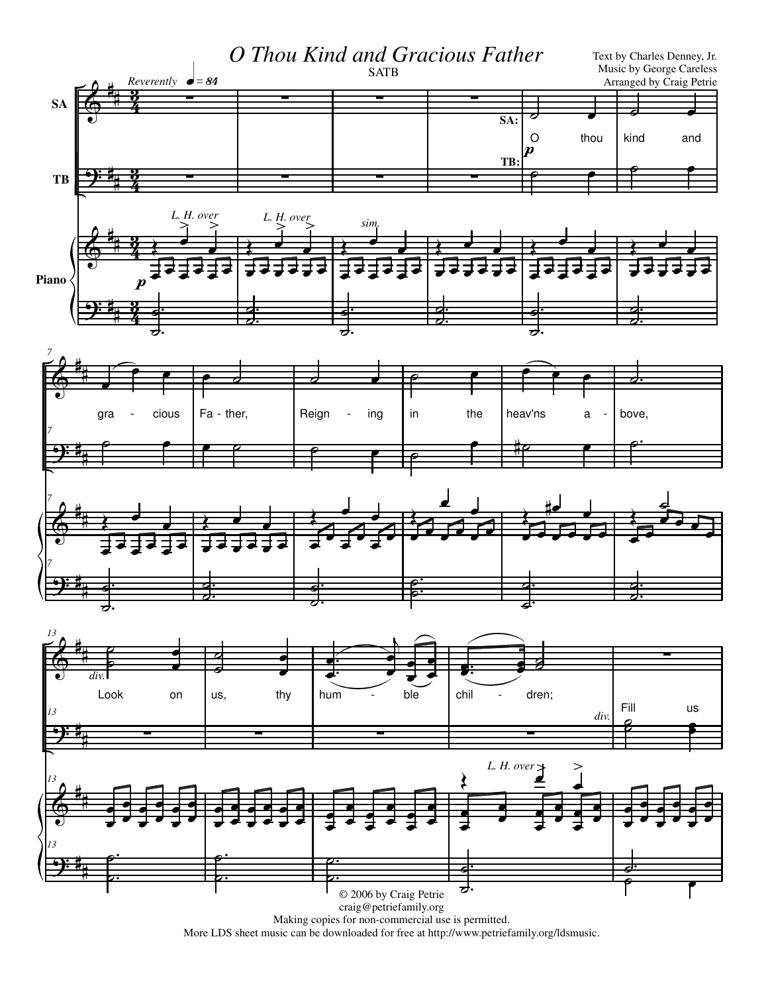

More LDS sheet music can be downloaded for free at http://www.petriefamily.org/ldsmusic.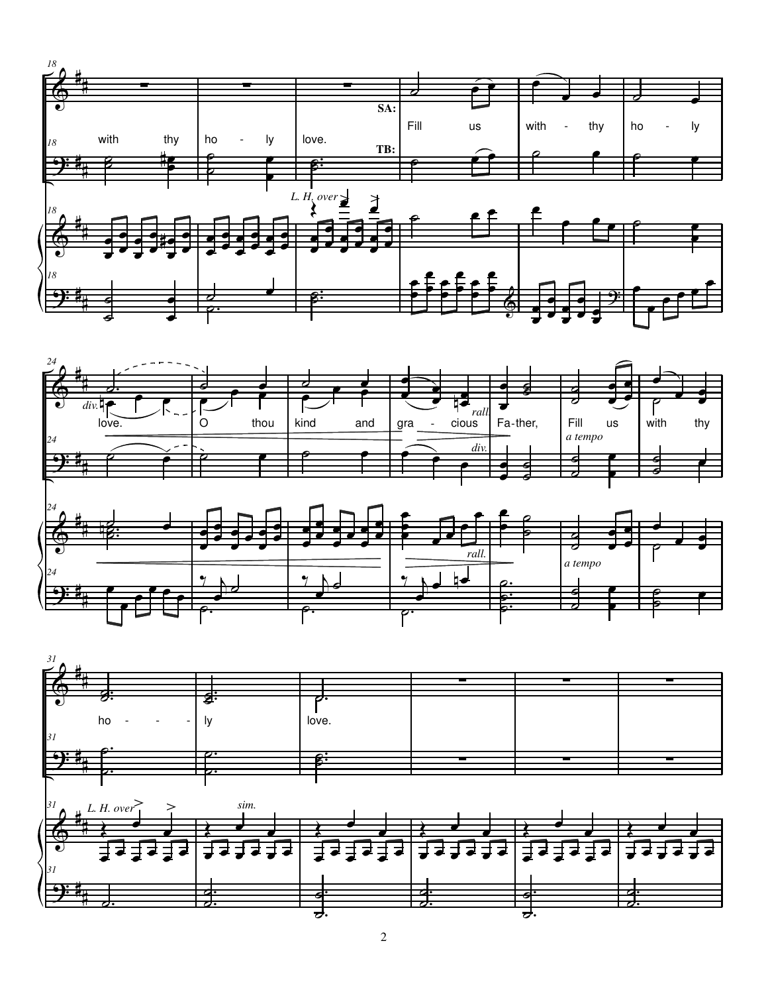



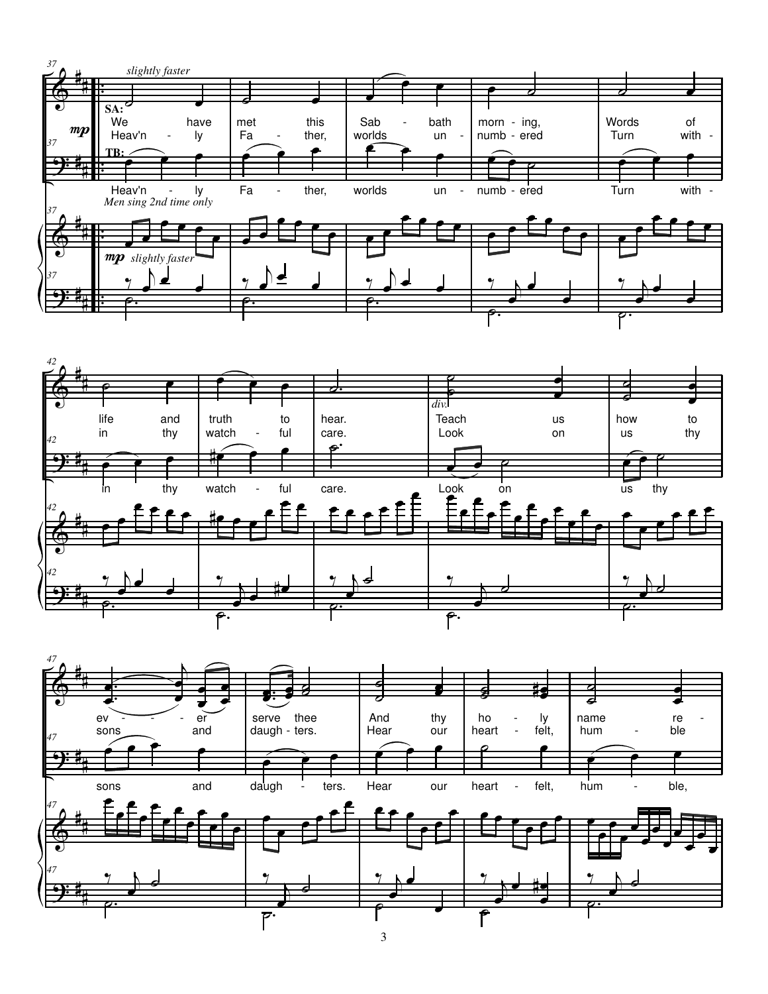



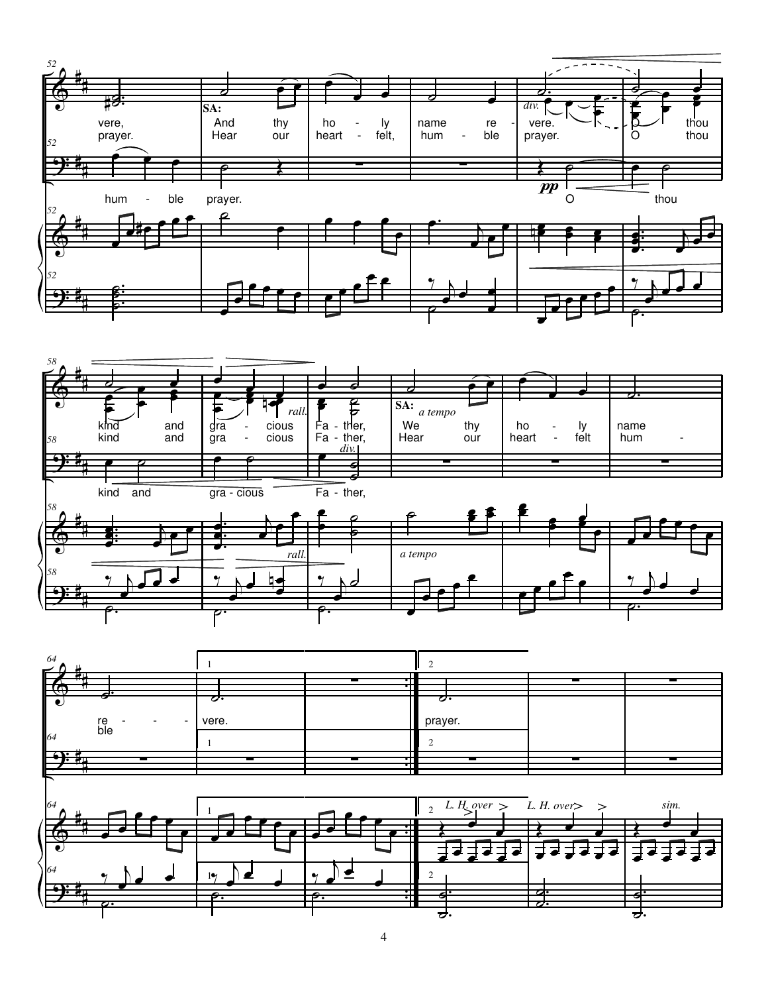



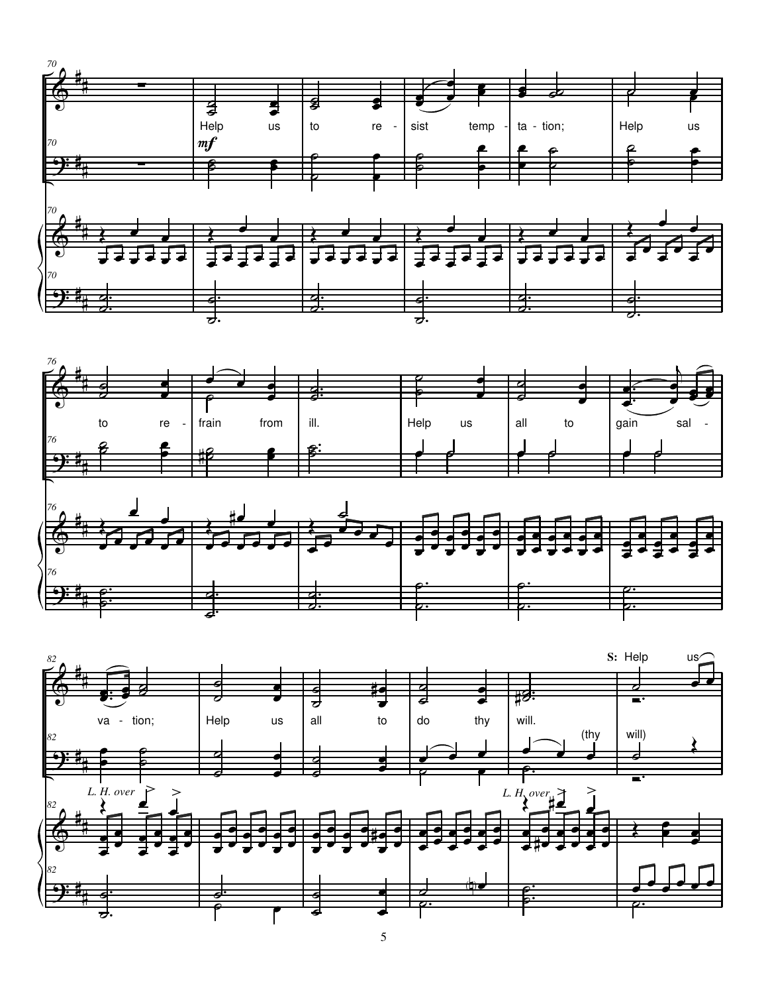